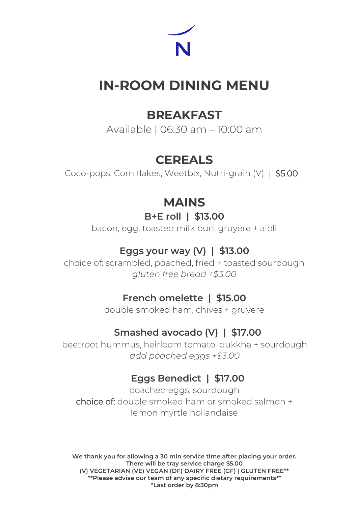

# **IN-ROOM DINING MENU**

## **BREAKFAST**

Available | 06:30 am – 10:00 am

# **CEREALS**

Coco-pops, Corn flakes, Weetbix, Nutri-grain (V) | \$5.00

# **MAINS**

### **B+E roll | \$13.00**

bacon, egg, toasted milk bun, gruyere + aioli

### **Eggs your way (V) | \$13.00**

choice of: scrambled, poached, fried + toasted sourdough *gluten free bread +\$3.00*

### **French omelette | \$15.00**

double smoked ham, chives + gruyere

### **Smashed avocado (V) | \$17.00**

beetroot hummus, heirloom tomato, dukkha + sourdough *add poached eggs +\$3.00*

### **Eggs Benedict | \$17.00**

poached eggs, sourdough choice of: double smoked ham or smoked salmon + lemon myrtle hollandaise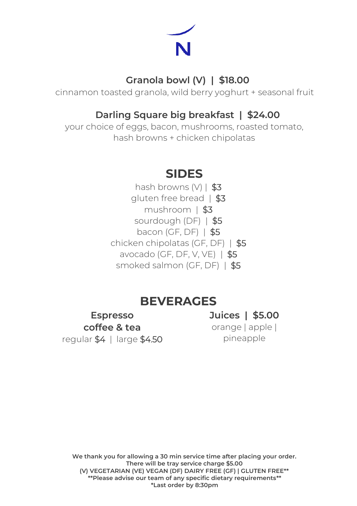

#### **Granola bowl (V) | \$18.00**

cinnamon toasted granola, wild berry yoghurt + seasonal fruit

#### **Darling Square big breakfast | \$24.00**

your choice of eggs, bacon, mushrooms, roasted tomato, hash browns + chicken chipolatas

## **SIDES**

hash browns (V) | \$3 aluten free bread | \$3 mushroom | \$3 sourdough (DF) | \$5 bacon (GF, DF) | \$5 chicken chipolatas (GF, DF) | \$5 avocado (GF, DF, V, VE) | \$5 smoked salmon (GF, DF) | \$5

## **BEVERAGES**

**Espresso coffee & tea** regular \$4 | large \$4.50

**Juices | \$5.00** orange | apple | pineapple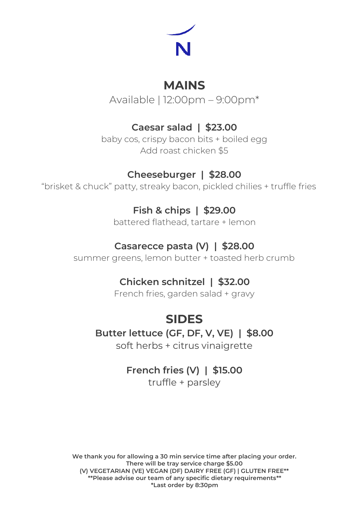

# **MAINS**

Available | 12:00pm – 9:00pm\*

## **Caesar salad | \$23.00**

baby cos, crispy bacon bits + boiled egg Add roast chicken \$5

### **Cheeseburger | \$28.00**

"brisket & chuck" patty, streaky bacon, pickled chilies + truffle fries

### **Fish & chips | \$29.00**

battered flathead, tartare + lemon

### **Casarecce pasta (V) | \$28.00**

summer greens, lemon butter + toasted herb crumb

### **Chicken schnitzel | \$32.00**

French fries, garden salad + gravy

# **SIDES**

#### **Butter lettuce (GF, DF, V, VE) | \$8.00**

soft herbs + citrus vinaigrette

# **French fries (V) | \$15.00**

truffle + parsley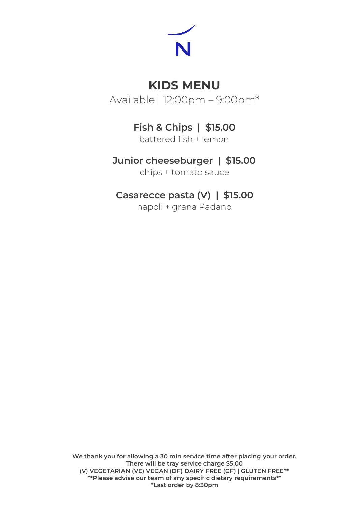

# **KIDS MENU**

Available | 12:00pm – 9:00pm\*

## **Fish & Chips | \$15.00**

battered fish + lemon

### **Junior cheeseburger | \$15.00**

chips + tomato sauce

### **Casarecce pasta (V) | \$15.00**

napoli + grana Padano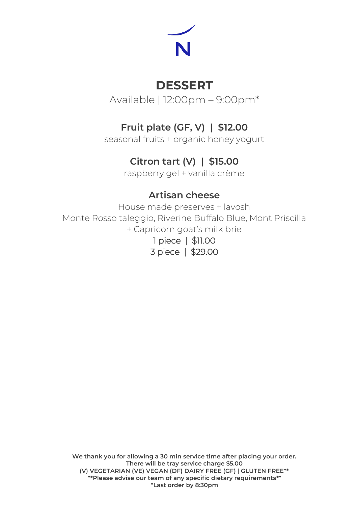

# **DESSERT**

Available | 12:00pm – 9:00pm\*

## **Fruit plate (GF, V) | \$12.00**

seasonal fruits + organic honey yogurt

### **Citron tart (V) | \$15.00**

raspberry gel + vanilla crème

#### **Artisan cheese**

House made preserves + lavosh Monte Rosso taleggio, Riverine Buffalo Blue, Mont Priscilla + Capricorn goat's milk brie

1 piece | \$11.00 3 piece | \$29.00